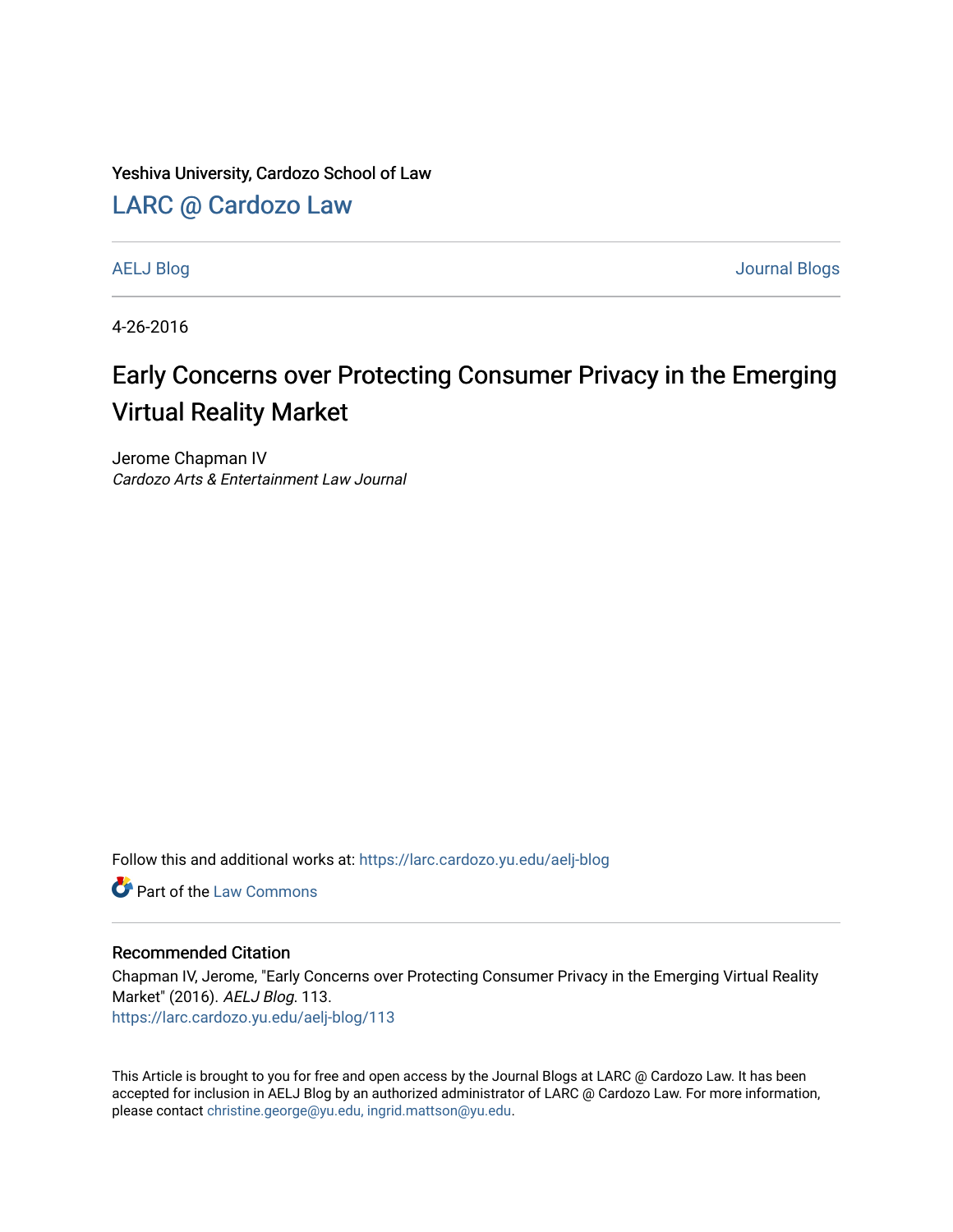Yeshiva University, Cardozo School of Law

[LARC @ Cardozo Law](https://larc.cardozo.yu.edu/)

[AELJ Blog](https://larc.cardozo.yu.edu/aelj-blog) [Journal Blogs](https://larc.cardozo.yu.edu/journal-blogs) 

4-26-2016

## Early Concerns over Protecting Consumer Privacy in the Emerging Virtual Reality Market

Jerome Chapman IV Cardozo Arts & Entertainment Law Journal

Follow this and additional works at: [https://larc.cardozo.yu.edu/aelj-blog](https://larc.cardozo.yu.edu/aelj-blog?utm_source=larc.cardozo.yu.edu%2Faelj-blog%2F113&utm_medium=PDF&utm_campaign=PDFCoverPages) 

**C** Part of the [Law Commons](http://network.bepress.com/hgg/discipline/578?utm_source=larc.cardozo.yu.edu%2Faelj-blog%2F113&utm_medium=PDF&utm_campaign=PDFCoverPages)

#### Recommended Citation

Chapman IV, Jerome, "Early Concerns over Protecting Consumer Privacy in the Emerging Virtual Reality Market" (2016). AELJ Blog. 113. [https://larc.cardozo.yu.edu/aelj-blog/113](https://larc.cardozo.yu.edu/aelj-blog/113?utm_source=larc.cardozo.yu.edu%2Faelj-blog%2F113&utm_medium=PDF&utm_campaign=PDFCoverPages) 

This Article is brought to you for free and open access by the Journal Blogs at LARC @ Cardozo Law. It has been accepted for inclusion in AELJ Blog by an authorized administrator of LARC @ Cardozo Law. For more information, please contact [christine.george@yu.edu, ingrid.mattson@yu.edu.](mailto:christine.george@yu.edu,%20ingrid.mattson@yu.edu)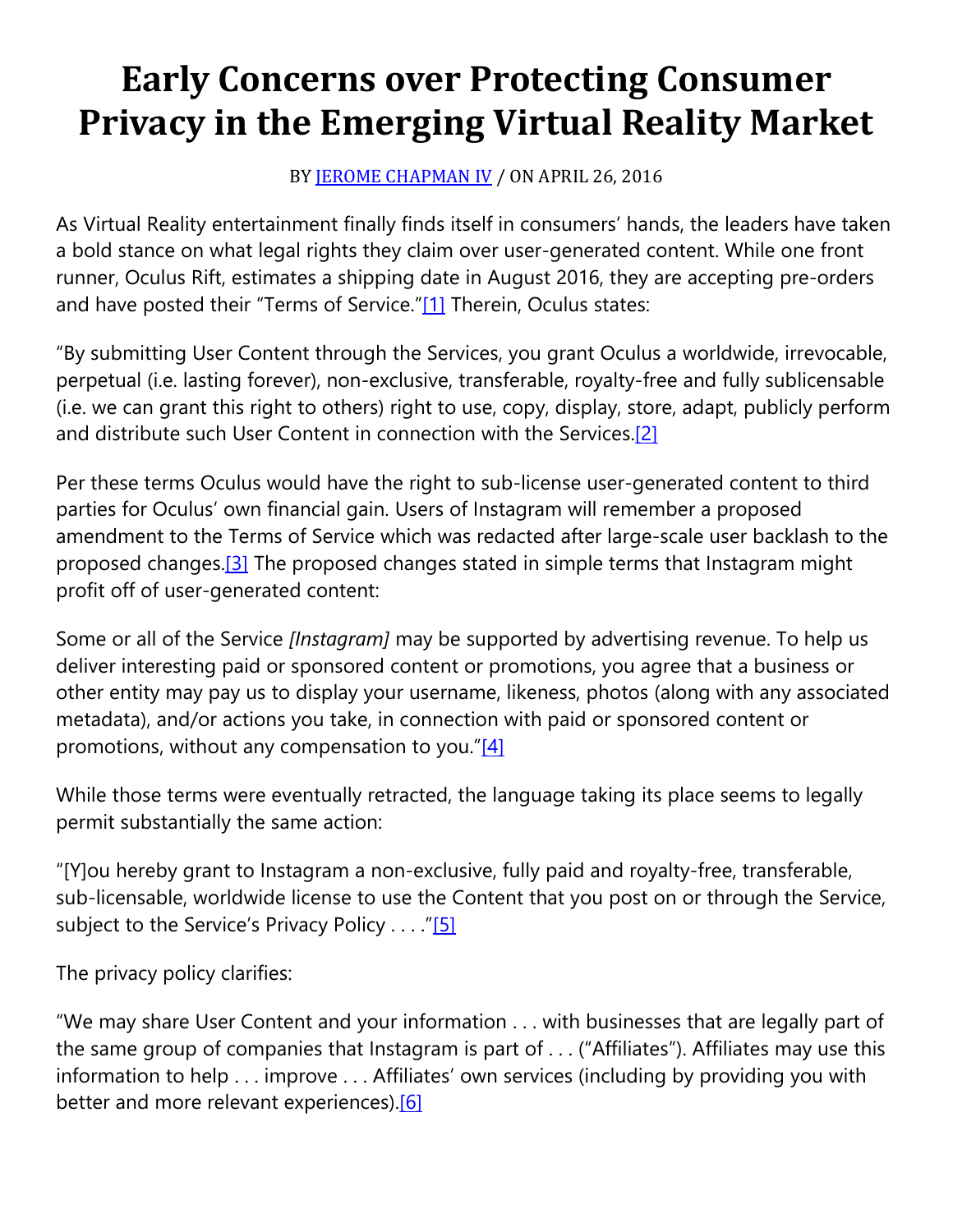# **Early Concerns over Protecting Consumer Privacy in the Emerging Virtual Reality Market**

### BY **[JEROME CHAPMAN IV](https://cardozoaelj.com/author/jerome-chapman-iv/)** / ON APRIL 26, 2016

As Virtual Reality entertainment finally finds itself in consumers' hands, the leaders have taken a bold stance on what legal rights they claim over user-generated content. While one front runner, Oculus Rift, estimates a shipping date in August 2016, they are accepting pre-orders and have posted their "Terms of Service.["\[1\]](https://cardozoaelj.com/2016/04/26/early-concerns-over-protecting-consumer-privacy-in-the-emerging-virtual-reality-market/#_ftn1) Therein, Oculus states:

"By submitting User Content through the Services, you grant Oculus a worldwide, irrevocable, perpetual (i.e. lasting forever), non-exclusive, transferable, royalty-free and fully sublicensable (i.e. we can grant this right to others) right to use, copy, display, store, adapt, publicly perform and distribute such User Content in connection with the Services[.\[2\]](https://cardozoaelj.com/2016/04/26/early-concerns-over-protecting-consumer-privacy-in-the-emerging-virtual-reality-market/#_ftn2)

Per these terms Oculus would have the right to sub-license user-generated content to third parties for Oculus' own financial gain. Users of Instagram will remember a proposed amendment to the Terms of Service which was redacted after large-scale user backlash to the proposed changes.<sup>[3]</sup> The proposed changes stated in simple terms that Instagram might profit off of user-generated content:

Some or all of the Service *[Instagram]* may be supported by advertising revenue. To help us deliver interesting paid or sponsored content or promotions, you agree that a business or other entity may pay us to display your username, likeness, photos (along with any associated metadata), and/or actions you take, in connection with paid or sponsored content or promotions, without any compensation to you." $[4]$ 

While those terms were eventually retracted, the language taking its place seems to legally permit substantially the same action:

"[Y]ou hereby grant to Instagram a non-exclusive, fully paid and royalty-free, transferable, sub-licensable, worldwide license to use the Content that you post on or through the Service, subject to the Service's Privacy Policy . . . . ["\[5\]](https://cardozoaelj.com/2016/04/26/early-concerns-over-protecting-consumer-privacy-in-the-emerging-virtual-reality-market/#_ftn5)

The privacy policy clarifies:

"We may share User Content and your information . . . with businesses that are legally part of the same group of companies that Instagram is part of . . . ("Affiliates"). Affiliates may use this information to help . . . improve . . . Affiliates' own services (including by providing you with better and more relevant experiences).<sup>[6]</sup>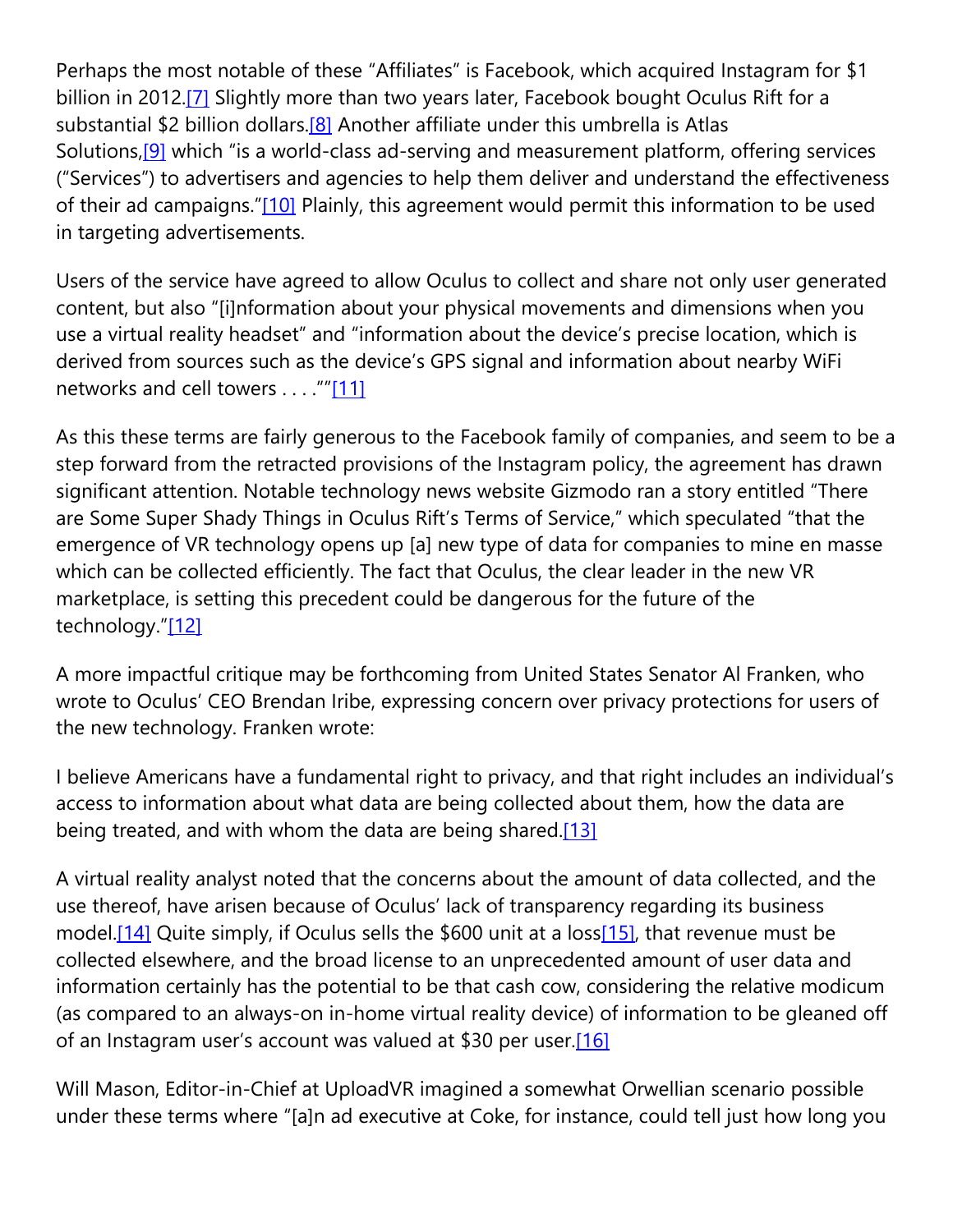Perhaps the most notable of these "Affiliates" is Facebook, which acquired Instagram for \$1 billion in 2012.<sup>[7]</sup> Slightly more than two years later, Facebook bought Oculus Rift for a substantial \$2 billion dollars.<sup>[8]</sup> Another affiliate under this umbrella is Atlas Solutions,<sup>[9]</sup> which "is a world-class ad-serving and measurement platform, offering services ("Services") to advertisers and agencies to help them deliver and understand the effectiveness of their ad campaigns.["\[10\]](https://cardozoaelj.com/2016/04/26/early-concerns-over-protecting-consumer-privacy-in-the-emerging-virtual-reality-market/#_ftn10) Plainly, this agreement would permit this information to be used in targeting advertisements.

Users of the service have agreed to allow Oculus to collect and share not only user generated content, but also "[i]nformation about your physical movements and dimensions when you use a virtual reality headset" and "information about the device's precise location, which is derived from sources such as the device's GPS signal and information about nearby WiFi networks and cell towers . . . . "["\[11\]](https://cardozoaelj.com/2016/04/26/early-concerns-over-protecting-consumer-privacy-in-the-emerging-virtual-reality-market/#_ftn11)

As this these terms are fairly generous to the Facebook family of companies, and seem to be a step forward from the retracted provisions of the Instagram policy, the agreement has drawn significant attention. Notable technology news website Gizmodo ran a story entitled "There are Some Super Shady Things in Oculus Rift's Terms of Service," which speculated "that the emergence of VR technology opens up [a] new type of data for companies to mine en masse which can be collected efficiently. The fact that Oculus, the clear leader in the new VR marketplace, is setting this precedent could be dangerous for the future of the technology.["\[12\]](https://cardozoaelj.com/2016/04/26/early-concerns-over-protecting-consumer-privacy-in-the-emerging-virtual-reality-market/#_ftn12)

A more impactful critique may be forthcoming from United States Senator Al Franken, who wrote to Oculus' CEO Brendan Iribe, expressing concern over privacy protections for users of the new technology. Franken wrote:

I believe Americans have a fundamental right to privacy, and that right includes an individual's access to information about what data are being collected about them, how the data are being treated, and with whom the data are being shared.<sup>[13]</sup>

A virtual reality analyst noted that the concerns about the amount of data collected, and the use thereof, have arisen because of Oculus' lack of transparency regarding its business model[.\[14\]](https://cardozoaelj.com/2016/04/26/early-concerns-over-protecting-consumer-privacy-in-the-emerging-virtual-reality-market/#_ftn14) Quite simply, if Oculus sells the \$600 unit at a los[s\[15\],](https://cardozoaelj.com/2016/04/26/early-concerns-over-protecting-consumer-privacy-in-the-emerging-virtual-reality-market/#_ftn15) that revenue must be collected elsewhere, and the broad license to an unprecedented amount of user data and information certainly has the potential to be that cash cow, considering the relative modicum (as compared to an always-on in-home virtual reality device) of information to be gleaned off of an Instagram user's account was valued at \$30 per user.<sup>[16]</sup>

Will Mason, Editor-in-Chief at UploadVR imagined a somewhat Orwellian scenario possible under these terms where "[a]n ad executive at Coke, for instance, could tell just how long you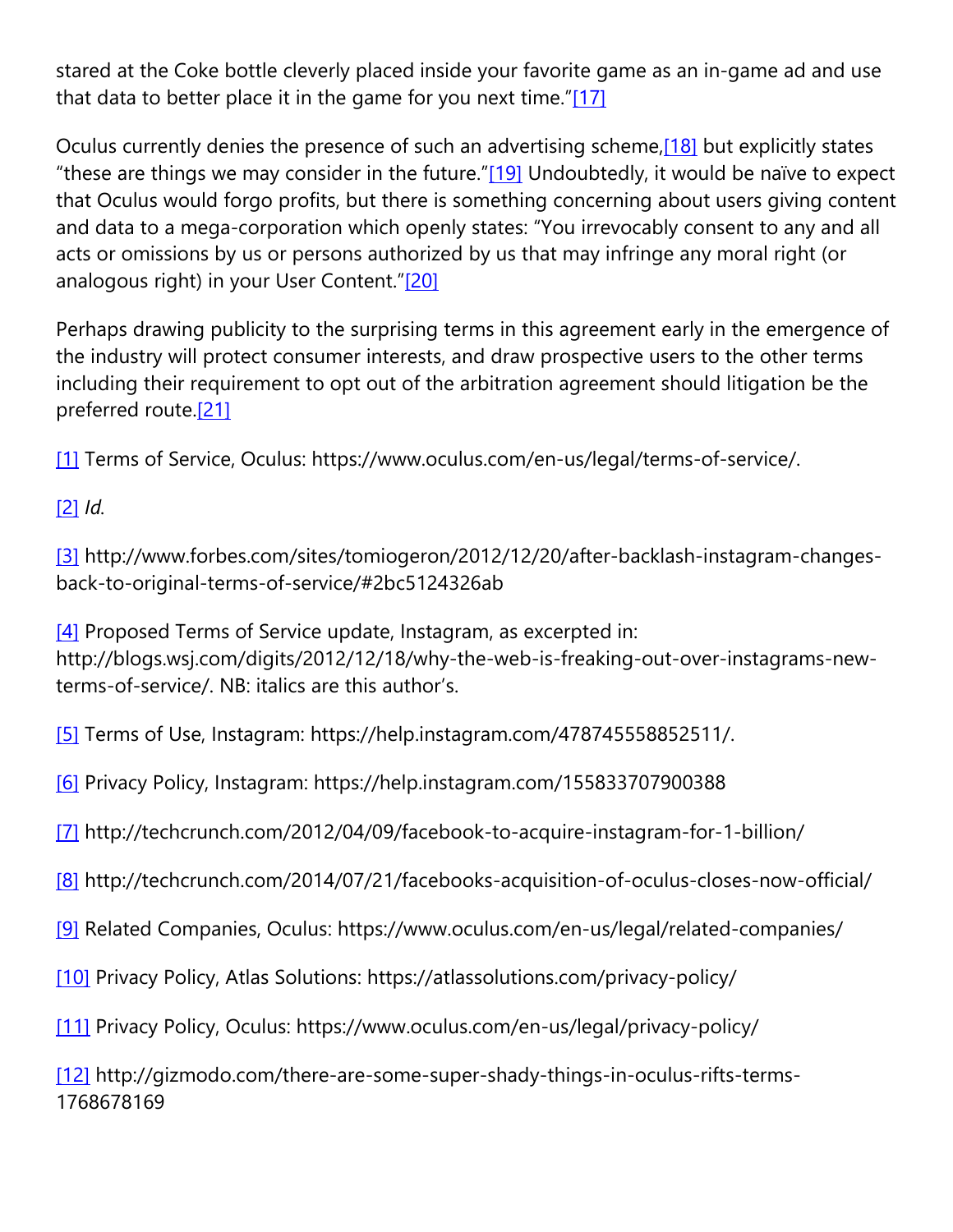stared at the Coke bottle cleverly placed inside your favorite game as an in-game ad and use that data to better place it in the game for you next time." $[17]$ 

Oculus currently denies the presence of such an advertising scheme[,\[18\]](https://cardozoaelj.com/2016/04/26/early-concerns-over-protecting-consumer-privacy-in-the-emerging-virtual-reality-market/#_ftn18) but explicitly states "these are things we may consider in the future.["\[19\]](https://cardozoaelj.com/2016/04/26/early-concerns-over-protecting-consumer-privacy-in-the-emerging-virtual-reality-market/#_ftn19) Undoubtedly, it would be naïve to expect that Oculus would forgo profits, but there is something concerning about users giving content and data to a mega-corporation which openly states: "You irrevocably consent to any and all acts or omissions by us or persons authorized by us that may infringe any moral right (or analogous right) in your User Content.["\[20\]](https://cardozoaelj.com/2016/04/26/early-concerns-over-protecting-consumer-privacy-in-the-emerging-virtual-reality-market/#_ftn20)

Perhaps drawing publicity to the surprising terms in this agreement early in the emergence of the industry will protect consumer interests, and draw prospective users to the other terms including their requirement to opt out of the arbitration agreement should litigation be the preferred route.<sup>[21]</sup>

[\[1\]](https://cardozoaelj.com/2016/04/26/early-concerns-over-protecting-consumer-privacy-in-the-emerging-virtual-reality-market/#_ftnref1) Terms of Service, Oculus: https://www.oculus.com/en-us/legal/terms-of-service/.

### [\[2\]](https://cardozoaelj.com/2016/04/26/early-concerns-over-protecting-consumer-privacy-in-the-emerging-virtual-reality-market/#_ftnref2) *Id.*

[\[3\]](https://cardozoaelj.com/2016/04/26/early-concerns-over-protecting-consumer-privacy-in-the-emerging-virtual-reality-market/#_ftnref3) http://www.forbes.com/sites/tomiogeron/2012/12/20/after-backlash-instagram-changesback-to-original-terms-of-service/#2bc5124326ab

[\[4\]](https://cardozoaelj.com/2016/04/26/early-concerns-over-protecting-consumer-privacy-in-the-emerging-virtual-reality-market/#_ftnref4) Proposed Terms of Service update, Instagram, as excerpted in: http://blogs.wsj.com/digits/2012/12/18/why-the-web-is-freaking-out-over-instagrams-newterms-of-service/. NB: italics are this author's.

[\[5\]](https://cardozoaelj.com/2016/04/26/early-concerns-over-protecting-consumer-privacy-in-the-emerging-virtual-reality-market/#_ftnref5) Terms of Use, Instagram: https://help.instagram.com/478745558852511/.

[\[6\]](https://cardozoaelj.com/2016/04/26/early-concerns-over-protecting-consumer-privacy-in-the-emerging-virtual-reality-market/#_ftnref6) Privacy Policy, Instagram: https://help.instagram.com/155833707900388

[\[7\]](https://cardozoaelj.com/2016/04/26/early-concerns-over-protecting-consumer-privacy-in-the-emerging-virtual-reality-market/#_ftnref7) http://techcrunch.com/2012/04/09/facebook-to-acquire-instagram-for-1-billion/

[\[8\]](https://cardozoaelj.com/2016/04/26/early-concerns-over-protecting-consumer-privacy-in-the-emerging-virtual-reality-market/#_ftnref8) http://techcrunch.com/2014/07/21/facebooks-acquisition-of-oculus-closes-now-official/

[\[9\]](https://cardozoaelj.com/2016/04/26/early-concerns-over-protecting-consumer-privacy-in-the-emerging-virtual-reality-market/#_ftnref9) Related Companies, Oculus: https://www.oculus.com/en-us/legal/related-companies/

[\[10\]](https://cardozoaelj.com/2016/04/26/early-concerns-over-protecting-consumer-privacy-in-the-emerging-virtual-reality-market/#_ftnref10) Privacy Policy, Atlas Solutions: https://atlassolutions.com/privacy-policy/

[\[11\]](https://cardozoaelj.com/2016/04/26/early-concerns-over-protecting-consumer-privacy-in-the-emerging-virtual-reality-market/#_ftnref11) Privacy Policy, Oculus: https://www.oculus.com/en-us/legal/privacy-policy/

[\[12\]](https://cardozoaelj.com/2016/04/26/early-concerns-over-protecting-consumer-privacy-in-the-emerging-virtual-reality-market/#_ftnref12) http://gizmodo.com/there-are-some-super-shady-things-in-oculus-rifts-terms-1768678169